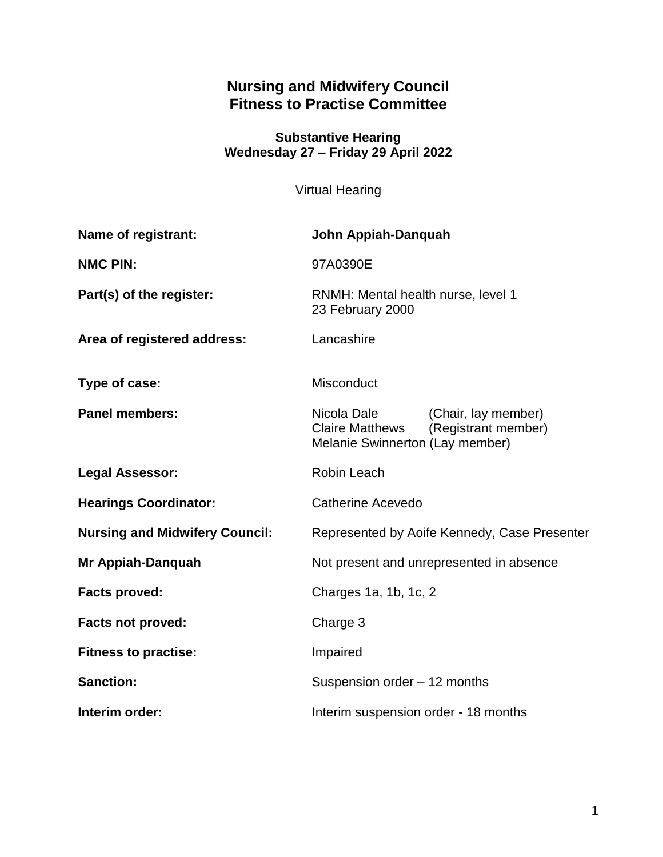# **Nursing and Midwifery Council Fitness to Practise Committee**

**Substantive Hearing Wednesday 27 – Friday 29 April 2022**

Virtual Hearing

| Name of registrant:                   | John Appiah-Danquah                                                      |                                            |
|---------------------------------------|--------------------------------------------------------------------------|--------------------------------------------|
| <b>NMC PIN:</b>                       | 97A0390E                                                                 |                                            |
| Part(s) of the register:              | RNMH: Mental health nurse, level 1<br>23 February 2000                   |                                            |
| Area of registered address:           | Lancashire                                                               |                                            |
| Type of case:                         | <b>Misconduct</b>                                                        |                                            |
| <b>Panel members:</b>                 | Nicola Dale<br><b>Claire Matthews</b><br>Melanie Swinnerton (Lay member) | (Chair, lay member)<br>(Registrant member) |
| <b>Legal Assessor:</b>                | <b>Robin Leach</b>                                                       |                                            |
| <b>Hearings Coordinator:</b>          | Catherine Acevedo                                                        |                                            |
| <b>Nursing and Midwifery Council:</b> | Represented by Aoife Kennedy, Case Presenter                             |                                            |
| Mr Appiah-Danquah                     | Not present and unrepresented in absence                                 |                                            |
| <b>Facts proved:</b>                  | Charges 1a, 1b, 1c, 2                                                    |                                            |
| <b>Facts not proved:</b>              | Charge 3                                                                 |                                            |
| <b>Fitness to practise:</b>           | Impaired                                                                 |                                            |
| <b>Sanction:</b>                      | Suspension order - 12 months                                             |                                            |
| Interim order:                        | Interim suspension order - 18 months                                     |                                            |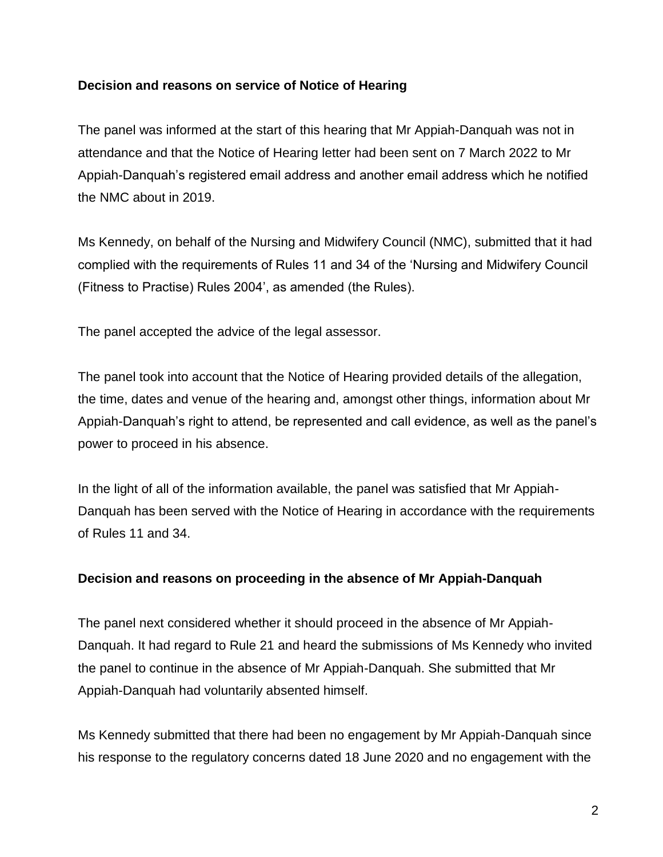### **Decision and reasons on service of Notice of Hearing**

The panel was informed at the start of this hearing that Mr Appiah-Danquah was not in attendance and that the Notice of Hearing letter had been sent on 7 March 2022 to Mr Appiah-Danquah's registered email address and another email address which he notified the NMC about in 2019.

Ms Kennedy, on behalf of the Nursing and Midwifery Council (NMC), submitted that it had complied with the requirements of Rules 11 and 34 of the 'Nursing and Midwifery Council (Fitness to Practise) Rules 2004', as amended (the Rules).

The panel accepted the advice of the legal assessor.

The panel took into account that the Notice of Hearing provided details of the allegation, the time, dates and venue of the hearing and, amongst other things, information about Mr Appiah-Danquah's right to attend, be represented and call evidence, as well as the panel's power to proceed in his absence.

In the light of all of the information available, the panel was satisfied that Mr Appiah-Danquah has been served with the Notice of Hearing in accordance with the requirements of Rules 11 and 34.

#### **Decision and reasons on proceeding in the absence of Mr Appiah-Danquah**

The panel next considered whether it should proceed in the absence of Mr Appiah-Danquah. It had regard to Rule 21 and heard the submissions of Ms Kennedy who invited the panel to continue in the absence of Mr Appiah-Danquah. She submitted that Mr Appiah-Danquah had voluntarily absented himself.

Ms Kennedy submitted that there had been no engagement by Mr Appiah-Danquah since his response to the regulatory concerns dated 18 June 2020 and no engagement with the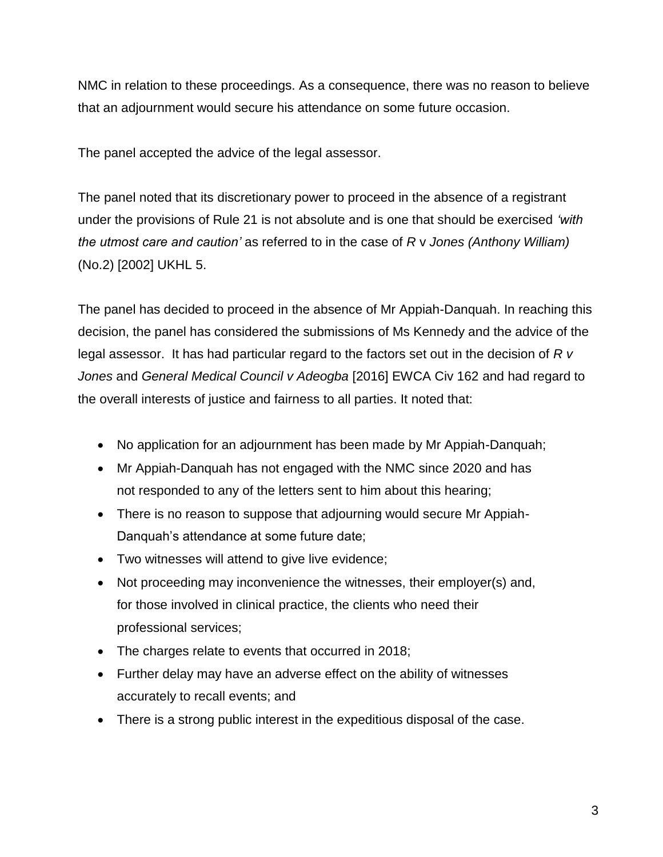NMC in relation to these proceedings. As a consequence, there was no reason to believe that an adjournment would secure his attendance on some future occasion.

The panel accepted the advice of the legal assessor.

The panel noted that its discretionary power to proceed in the absence of a registrant under the provisions of Rule 21 is not absolute and is one that should be exercised *'with the utmost care and caution'* as referred to in the case of *R* v *Jones (Anthony William)* (No.2) [2002] UKHL 5.

The panel has decided to proceed in the absence of Mr Appiah-Danquah. In reaching this decision, the panel has considered the submissions of Ms Kennedy and the advice of the legal assessor. It has had particular regard to the factors set out in the decision of *R v Jones* and *General Medical Council v Adeogba* [2016] EWCA Civ 162 and had regard to the overall interests of justice and fairness to all parties. It noted that:

- No application for an adjournment has been made by Mr Appiah-Danquah;
- Mr Appiah-Danquah has not engaged with the NMC since 2020 and has not responded to any of the letters sent to him about this hearing;
- There is no reason to suppose that adjourning would secure Mr Appiah-Danquah's attendance at some future date;
- Two witnesses will attend to give live evidence;
- Not proceeding may inconvenience the witnesses, their employer(s) and, for those involved in clinical practice, the clients who need their professional services;
- The charges relate to events that occurred in 2018;
- Further delay may have an adverse effect on the ability of witnesses accurately to recall events; and
- There is a strong public interest in the expeditious disposal of the case.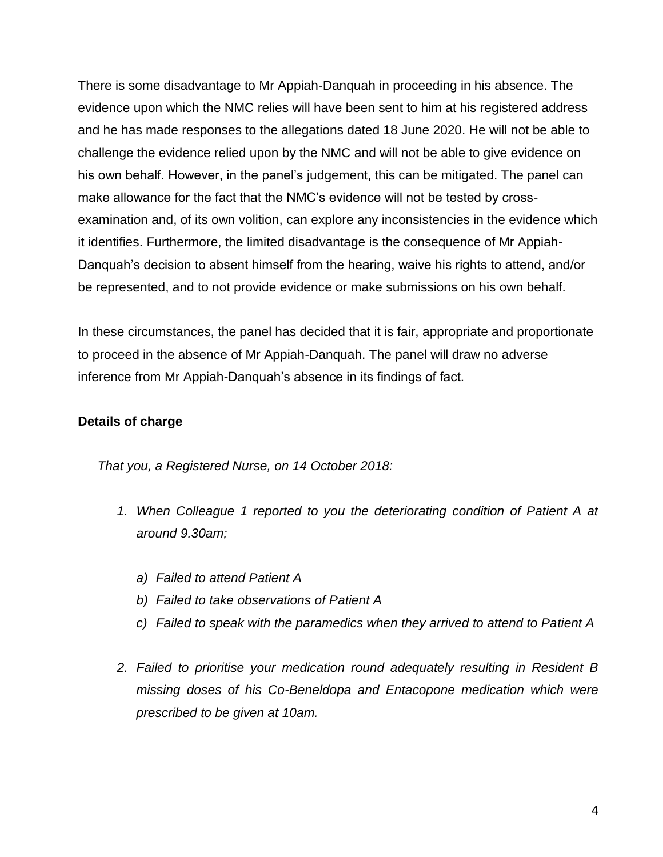There is some disadvantage to Mr Appiah-Danquah in proceeding in his absence. The evidence upon which the NMC relies will have been sent to him at his registered address and he has made responses to the allegations dated 18 June 2020. He will not be able to challenge the evidence relied upon by the NMC and will not be able to give evidence on his own behalf. However, in the panel's judgement, this can be mitigated. The panel can make allowance for the fact that the NMC's evidence will not be tested by crossexamination and, of its own volition, can explore any inconsistencies in the evidence which it identifies. Furthermore, the limited disadvantage is the consequence of Mr Appiah-Danquah's decision to absent himself from the hearing, waive his rights to attend, and/or be represented, and to not provide evidence or make submissions on his own behalf.

In these circumstances, the panel has decided that it is fair, appropriate and proportionate to proceed in the absence of Mr Appiah-Danquah. The panel will draw no adverse inference from Mr Appiah-Danquah's absence in its findings of fact.

### **Details of charge**

*That you, a Registered Nurse, on 14 October 2018:* 

- *1. When Colleague 1 reported to you the deteriorating condition of Patient A at around 9.30am;*
	- *a) Failed to attend Patient A*
	- *b) Failed to take observations of Patient A*
	- *c) Failed to speak with the paramedics when they arrived to attend to Patient A*
- *2. Failed to prioritise your medication round adequately resulting in Resident B missing doses of his Co-Beneldopa and Entacopone medication which were prescribed to be given at 10am.*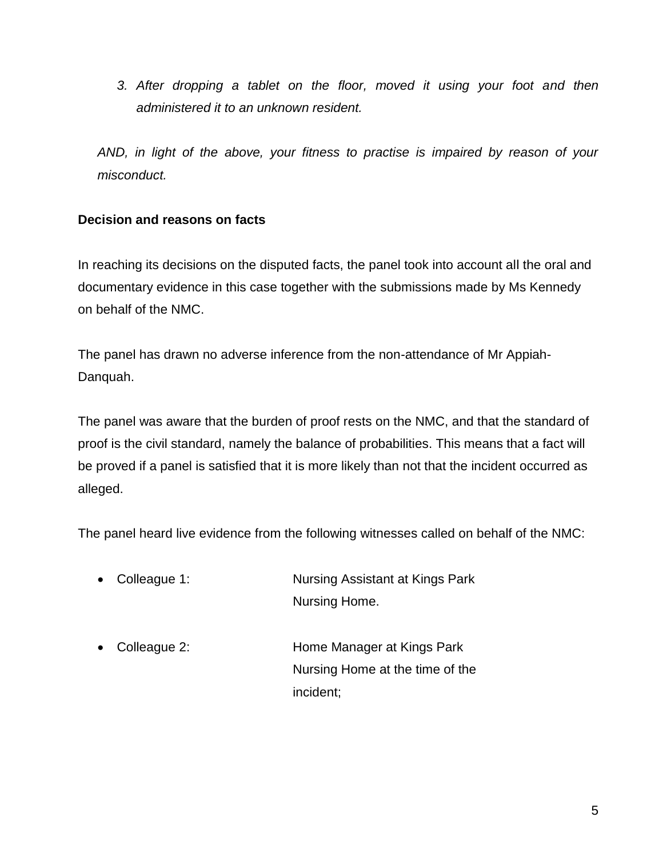*3. After dropping a tablet on the floor, moved it using your foot and then administered it to an unknown resident.*

*AND, in light of the above, your fitness to practise is impaired by reason of your misconduct.* 

### **Decision and reasons on facts**

In reaching its decisions on the disputed facts, the panel took into account all the oral and documentary evidence in this case together with the submissions made by Ms Kennedy on behalf of the NMC.

The panel has drawn no adverse inference from the non-attendance of Mr Appiah-Danquah.

The panel was aware that the burden of proof rests on the NMC, and that the standard of proof is the civil standard, namely the balance of probabilities. This means that a fact will be proved if a panel is satisfied that it is more likely than not that the incident occurred as alleged.

The panel heard live evidence from the following witnesses called on behalf of the NMC:

- Colleague 1: Nursing Assistant at Kings Park Nursing Home.
- Colleague 2: Home Manager at Kings Park Nursing Home at the time of the incident;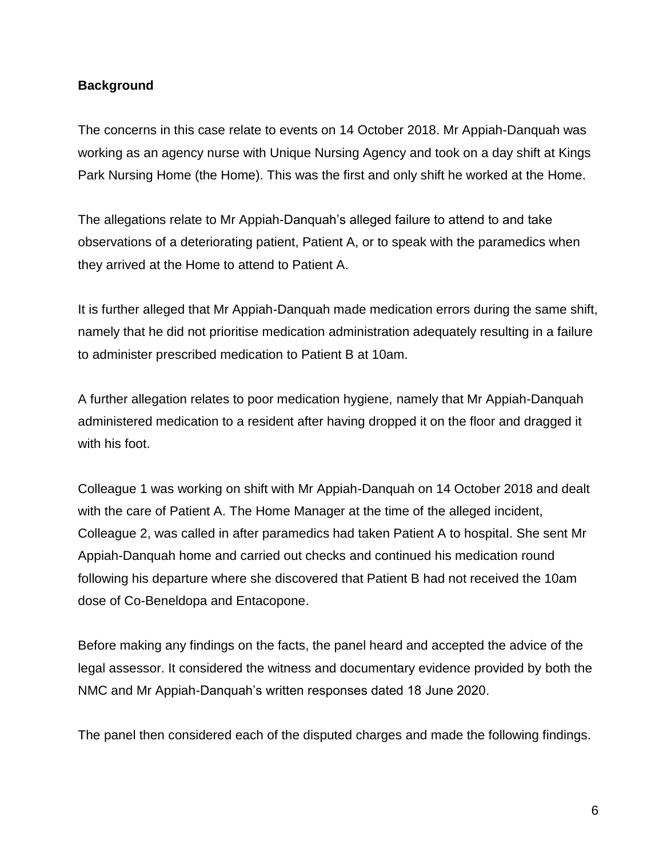#### **Background**

The concerns in this case relate to events on 14 October 2018. Mr Appiah-Danquah was working as an agency nurse with Unique Nursing Agency and took on a day shift at Kings Park Nursing Home (the Home). This was the first and only shift he worked at the Home.

The allegations relate to Mr Appiah-Danquah's alleged failure to attend to and take observations of a deteriorating patient, Patient A, or to speak with the paramedics when they arrived at the Home to attend to Patient A.

It is further alleged that Mr Appiah-Danquah made medication errors during the same shift, namely that he did not prioritise medication administration adequately resulting in a failure to administer prescribed medication to Patient B at 10am.

A further allegation relates to poor medication hygiene, namely that Mr Appiah-Danquah administered medication to a resident after having dropped it on the floor and dragged it with his foot.

Colleague 1 was working on shift with Mr Appiah-Danquah on 14 October 2018 and dealt with the care of Patient A. The Home Manager at the time of the alleged incident, Colleague 2, was called in after paramedics had taken Patient A to hospital. She sent Mr Appiah-Danquah home and carried out checks and continued his medication round following his departure where she discovered that Patient B had not received the 10am dose of Co-Beneldopa and Entacopone.

Before making any findings on the facts, the panel heard and accepted the advice of the legal assessor. It considered the witness and documentary evidence provided by both the NMC and Mr Appiah-Danquah's written responses dated 18 June 2020.

The panel then considered each of the disputed charges and made the following findings.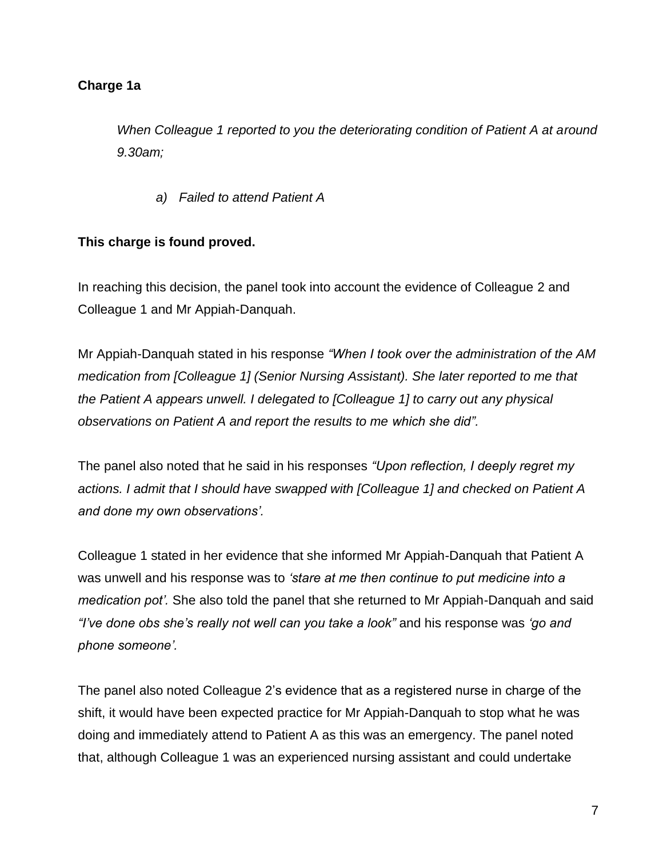*When Colleague 1 reported to you the deteriorating condition of Patient A at around 9.30am;*

*a) Failed to attend Patient A*

### **This charge is found proved.**

In reaching this decision, the panel took into account the evidence of Colleague 2 and Colleague 1 and Mr Appiah-Danquah.

Mr Appiah-Danquah stated in his response *"When I took over the administration of the AM medication from [Colleague 1] (Senior Nursing Assistant). She later reported to me that the Patient A appears unwell. I delegated to [Colleague 1] to carry out any physical observations on Patient A and report the results to me which she did".*

The panel also noted that he said in his responses *"Upon reflection, I deeply regret my actions. I admit that I should have swapped with [Colleague 1] and checked on Patient A and done my own observations'.*

Colleague 1 stated in her evidence that she informed Mr Appiah-Danquah that Patient A was unwell and his response was to *'stare at me then continue to put medicine into a medication pot'.* She also told the panel that she returned to Mr Appiah-Danquah and said *"I've done obs she's really not well can you take a look"* and his response was *'go and phone someone'.*

The panel also noted Colleague 2's evidence that as a registered nurse in charge of the shift, it would have been expected practice for Mr Appiah-Danquah to stop what he was doing and immediately attend to Patient A as this was an emergency. The panel noted that, although Colleague 1 was an experienced nursing assistant and could undertake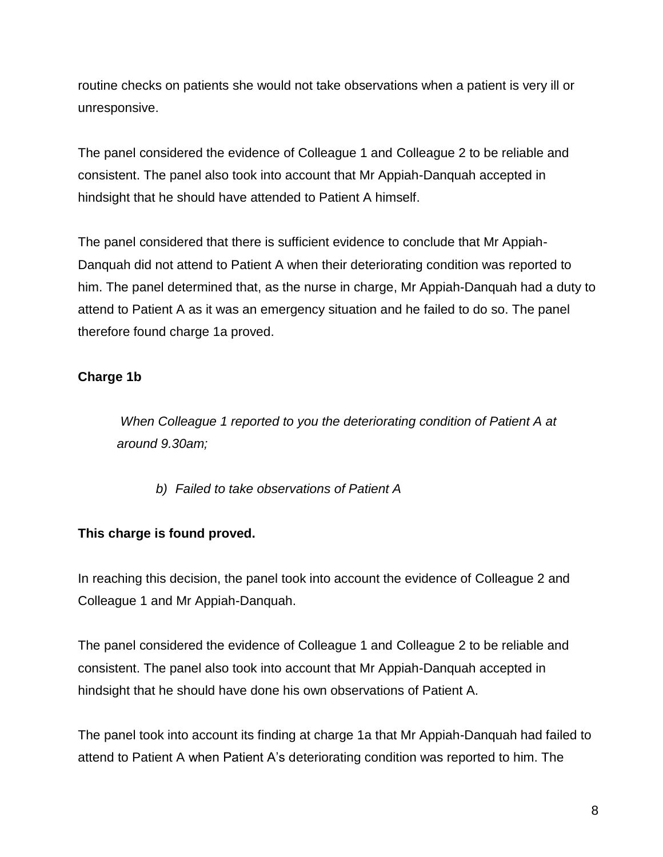routine checks on patients she would not take observations when a patient is very ill or unresponsive.

The panel considered the evidence of Colleague 1 and Colleague 2 to be reliable and consistent. The panel also took into account that Mr Appiah-Danquah accepted in hindsight that he should have attended to Patient A himself.

The panel considered that there is sufficient evidence to conclude that Mr Appiah-Danquah did not attend to Patient A when their deteriorating condition was reported to him. The panel determined that, as the nurse in charge, Mr Appiah-Danquah had a duty to attend to Patient A as it was an emergency situation and he failed to do so. The panel therefore found charge 1a proved.

# **Charge 1b**

*When Colleague 1 reported to you the deteriorating condition of Patient A at around 9.30am;*

*b) Failed to take observations of Patient A*

# **This charge is found proved.**

In reaching this decision, the panel took into account the evidence of Colleague 2 and Colleague 1 and Mr Appiah-Danquah.

The panel considered the evidence of Colleague 1 and Colleague 2 to be reliable and consistent. The panel also took into account that Mr Appiah-Danquah accepted in hindsight that he should have done his own observations of Patient A.

The panel took into account its finding at charge 1a that Mr Appiah-Danquah had failed to attend to Patient A when Patient A's deteriorating condition was reported to him. The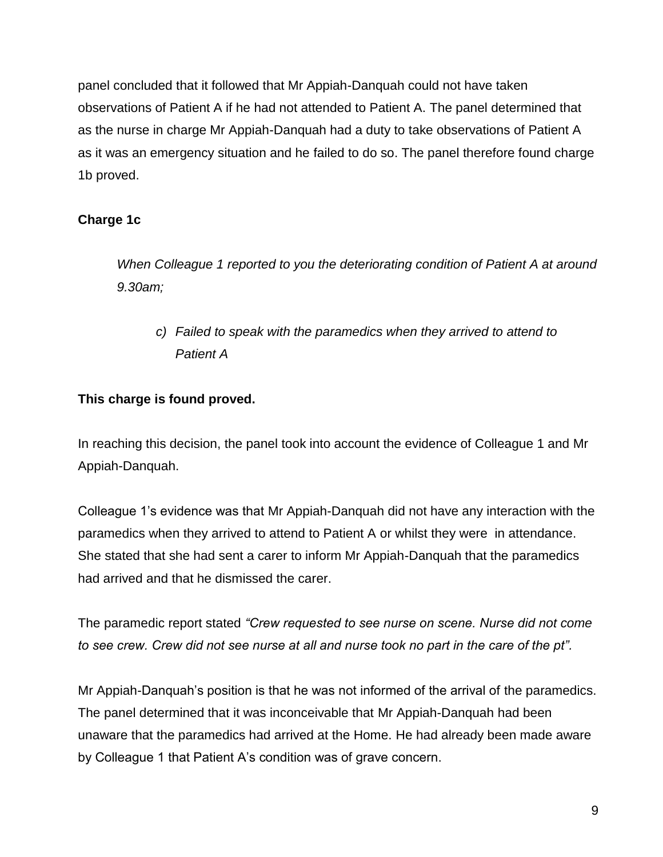panel concluded that it followed that Mr Appiah-Danquah could not have taken observations of Patient A if he had not attended to Patient A. The panel determined that as the nurse in charge Mr Appiah-Danquah had a duty to take observations of Patient A as it was an emergency situation and he failed to do so. The panel therefore found charge 1b proved.

# **Charge 1c**

*When Colleague 1 reported to you the deteriorating condition of Patient A at around 9.30am;*

*c) Failed to speak with the paramedics when they arrived to attend to Patient A* 

# **This charge is found proved.**

In reaching this decision, the panel took into account the evidence of Colleague 1 and Mr Appiah-Danquah.

Colleague 1's evidence was that Mr Appiah-Danquah did not have any interaction with the paramedics when they arrived to attend to Patient A or whilst they were in attendance. She stated that she had sent a carer to inform Mr Appiah-Danquah that the paramedics had arrived and that he dismissed the carer.

The paramedic report stated *"Crew requested to see nurse on scene. Nurse did not come to see crew. Crew did not see nurse at all and nurse took no part in the care of the pt".*

Mr Appiah-Danquah's position is that he was not informed of the arrival of the paramedics. The panel determined that it was inconceivable that Mr Appiah-Danquah had been unaware that the paramedics had arrived at the Home. He had already been made aware by Colleague 1 that Patient A's condition was of grave concern.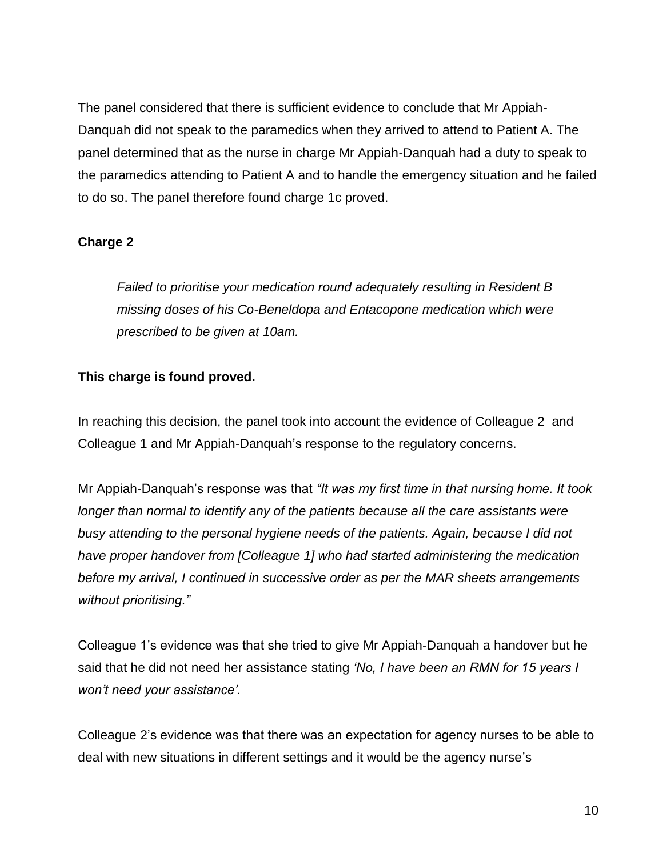The panel considered that there is sufficient evidence to conclude that Mr Appiah-Danquah did not speak to the paramedics when they arrived to attend to Patient A. The panel determined that as the nurse in charge Mr Appiah-Danquah had a duty to speak to the paramedics attending to Patient A and to handle the emergency situation and he failed to do so. The panel therefore found charge 1c proved.

### **Charge 2**

*Failed to prioritise your medication round adequately resulting in Resident B missing doses of his Co-Beneldopa and Entacopone medication which were prescribed to be given at 10am.*

### **This charge is found proved.**

In reaching this decision, the panel took into account the evidence of Colleague 2 and Colleague 1 and Mr Appiah-Danquah's response to the regulatory concerns.

Mr Appiah-Danquah's response was that *"It was my first time in that nursing home. It took longer than normal to identify any of the patients because all the care assistants were busy attending to the personal hygiene needs of the patients. Again, because I did not have proper handover from [Colleague 1] who had started administering the medication before my arrival, I continued in successive order as per the MAR sheets arrangements without prioritising."*

Colleague 1's evidence was that she tried to give Mr Appiah-Danquah a handover but he said that he did not need her assistance stating *'No, I have been an RMN for 15 years I won't need your assistance'.*

Colleague 2's evidence was that there was an expectation for agency nurses to be able to deal with new situations in different settings and it would be the agency nurse's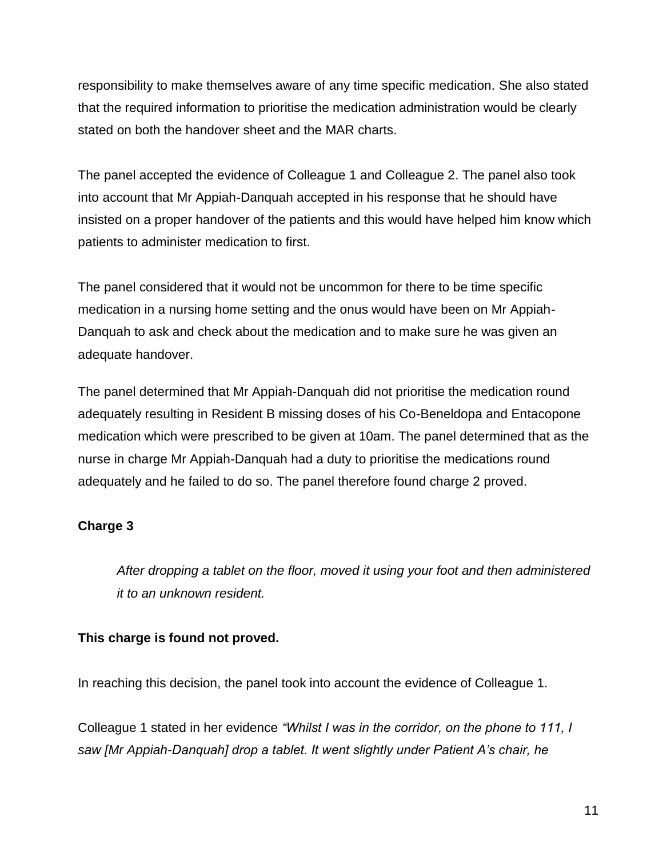responsibility to make themselves aware of any time specific medication. She also stated that the required information to prioritise the medication administration would be clearly stated on both the handover sheet and the MAR charts.

The panel accepted the evidence of Colleague 1 and Colleague 2. The panel also took into account that Mr Appiah-Danquah accepted in his response that he should have insisted on a proper handover of the patients and this would have helped him know which patients to administer medication to first.

The panel considered that it would not be uncommon for there to be time specific medication in a nursing home setting and the onus would have been on Mr Appiah-Danquah to ask and check about the medication and to make sure he was given an adequate handover.

The panel determined that Mr Appiah-Danquah did not prioritise the medication round adequately resulting in Resident B missing doses of his Co-Beneldopa and Entacopone medication which were prescribed to be given at 10am. The panel determined that as the nurse in charge Mr Appiah-Danquah had a duty to prioritise the medications round adequately and he failed to do so. The panel therefore found charge 2 proved.

# **Charge 3**

*After dropping a tablet on the floor, moved it using your foot and then administered it to an unknown resident.*

### **This charge is found not proved.**

In reaching this decision, the panel took into account the evidence of Colleague 1.

Colleague 1 stated in her evidence *"Whilst I was in the corridor, on the phone to 111, I saw [Mr Appiah-Danquah] drop a tablet. It went slightly under Patient A's chair, he*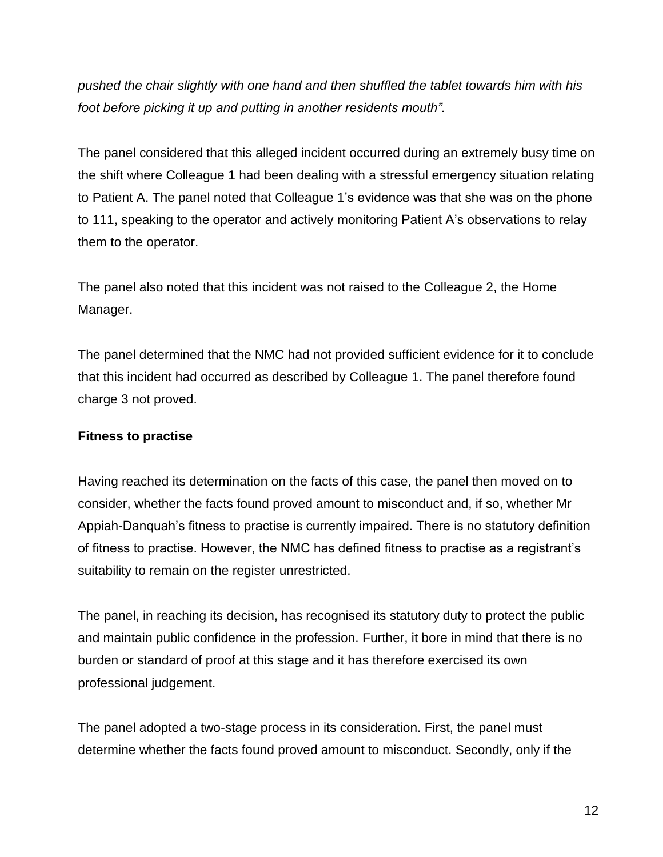*pushed the chair slightly with one hand and then shuffled the tablet towards him with his foot before picking it up and putting in another residents mouth".*

The panel considered that this alleged incident occurred during an extremely busy time on the shift where Colleague 1 had been dealing with a stressful emergency situation relating to Patient A. The panel noted that Colleague 1's evidence was that she was on the phone to 111, speaking to the operator and actively monitoring Patient A's observations to relay them to the operator.

The panel also noted that this incident was not raised to the Colleague 2, the Home Manager.

The panel determined that the NMC had not provided sufficient evidence for it to conclude that this incident had occurred as described by Colleague 1. The panel therefore found charge 3 not proved.

### **Fitness to practise**

Having reached its determination on the facts of this case, the panel then moved on to consider, whether the facts found proved amount to misconduct and, if so, whether Mr Appiah-Danquah's fitness to practise is currently impaired. There is no statutory definition of fitness to practise. However, the NMC has defined fitness to practise as a registrant's suitability to remain on the register unrestricted.

The panel, in reaching its decision, has recognised its statutory duty to protect the public and maintain public confidence in the profession. Further, it bore in mind that there is no burden or standard of proof at this stage and it has therefore exercised its own professional judgement.

The panel adopted a two-stage process in its consideration. First, the panel must determine whether the facts found proved amount to misconduct. Secondly, only if the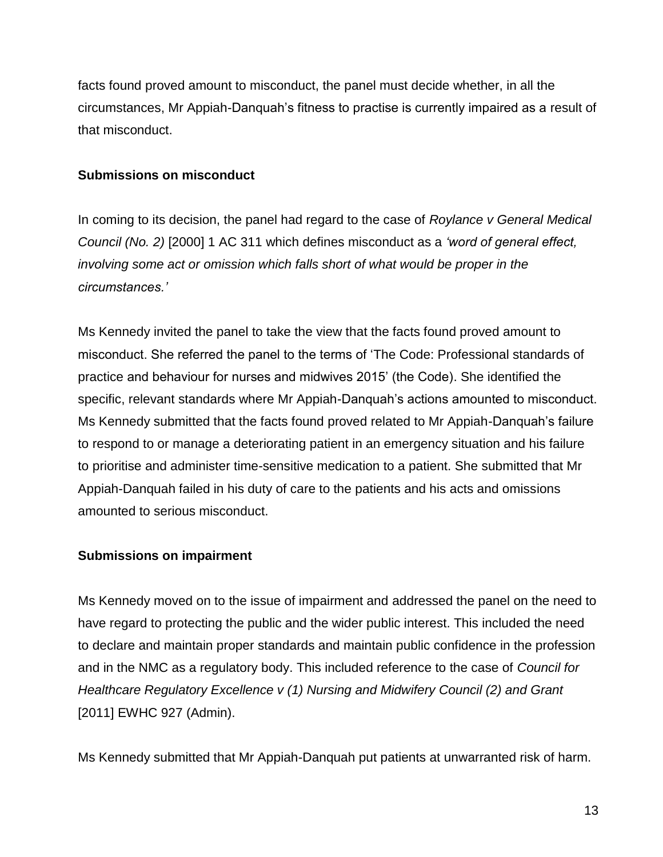facts found proved amount to misconduct, the panel must decide whether, in all the circumstances, Mr Appiah-Danquah's fitness to practise is currently impaired as a result of that misconduct.

#### **Submissions on misconduct**

In coming to its decision, the panel had regard to the case of *Roylance v General Medical Council (No. 2)* [2000] 1 AC 311 which defines misconduct as a *'word of general effect, involving some act or omission which falls short of what would be proper in the circumstances.'*

Ms Kennedy invited the panel to take the view that the facts found proved amount to misconduct. She referred the panel to the terms of 'The Code: Professional standards of practice and behaviour for nurses and midwives 2015' (the Code). She identified the specific, relevant standards where Mr Appiah-Danquah's actions amounted to misconduct. Ms Kennedy submitted that the facts found proved related to Mr Appiah-Danquah's failure to respond to or manage a deteriorating patient in an emergency situation and his failure to prioritise and administer time-sensitive medication to a patient. She submitted that Mr Appiah-Danquah failed in his duty of care to the patients and his acts and omissions amounted to serious misconduct.

### **Submissions on impairment**

Ms Kennedy moved on to the issue of impairment and addressed the panel on the need to have regard to protecting the public and the wider public interest. This included the need to declare and maintain proper standards and maintain public confidence in the profession and in the NMC as a regulatory body. This included reference to the case of *Council for Healthcare Regulatory Excellence v (1) Nursing and Midwifery Council (2) and Grant*  [2011] EWHC 927 (Admin).

Ms Kennedy submitted that Mr Appiah-Danquah put patients at unwarranted risk of harm.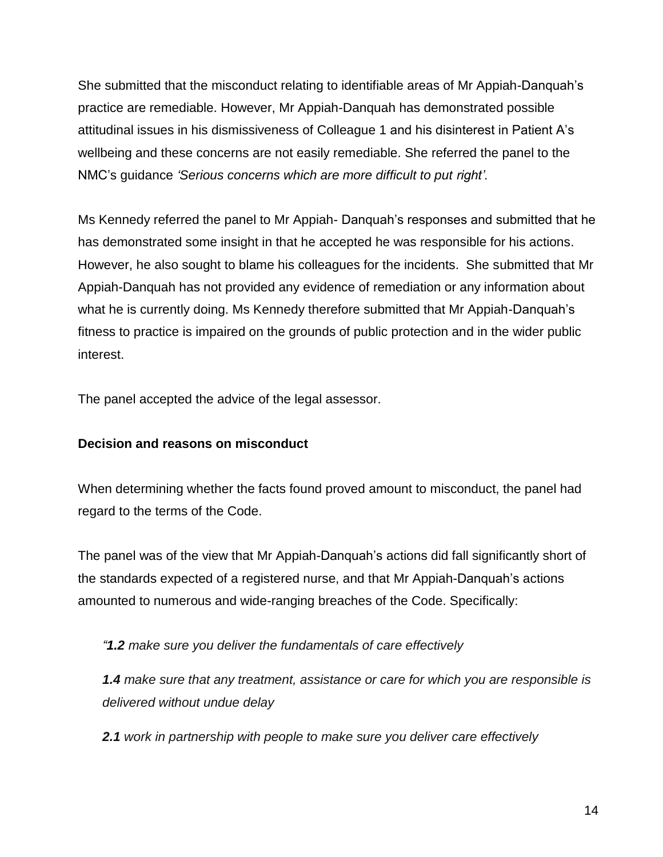She submitted that the misconduct relating to identifiable areas of Mr Appiah-Danquah's practice are remediable. However, Mr Appiah-Danquah has demonstrated possible attitudinal issues in his dismissiveness of Colleague 1 and his disinterest in Patient A's wellbeing and these concerns are not easily remediable. She referred the panel to the NMC's guidance *'Serious concerns which are more difficult to put right'.*

Ms Kennedy referred the panel to Mr Appiah- Danquah's responses and submitted that he has demonstrated some insight in that he accepted he was responsible for his actions. However, he also sought to blame his colleagues for the incidents. She submitted that Mr Appiah-Danquah has not provided any evidence of remediation or any information about what he is currently doing. Ms Kennedy therefore submitted that Mr Appiah-Danquah's fitness to practice is impaired on the grounds of public protection and in the wider public interest.

The panel accepted the advice of the legal assessor.

# **Decision and reasons on misconduct**

When determining whether the facts found proved amount to misconduct, the panel had regard to the terms of the Code.

The panel was of the view that Mr Appiah-Danquah's actions did fall significantly short of the standards expected of a registered nurse, and that Mr Appiah-Danquah's actions amounted to numerous and wide-ranging breaches of the Code. Specifically:

*"1.2 make sure you deliver the fundamentals of care effectively*

*1.4 make sure that any treatment, assistance or care for which you are responsible is delivered without undue delay*

*2.1 work in partnership with people to make sure you deliver care effectively*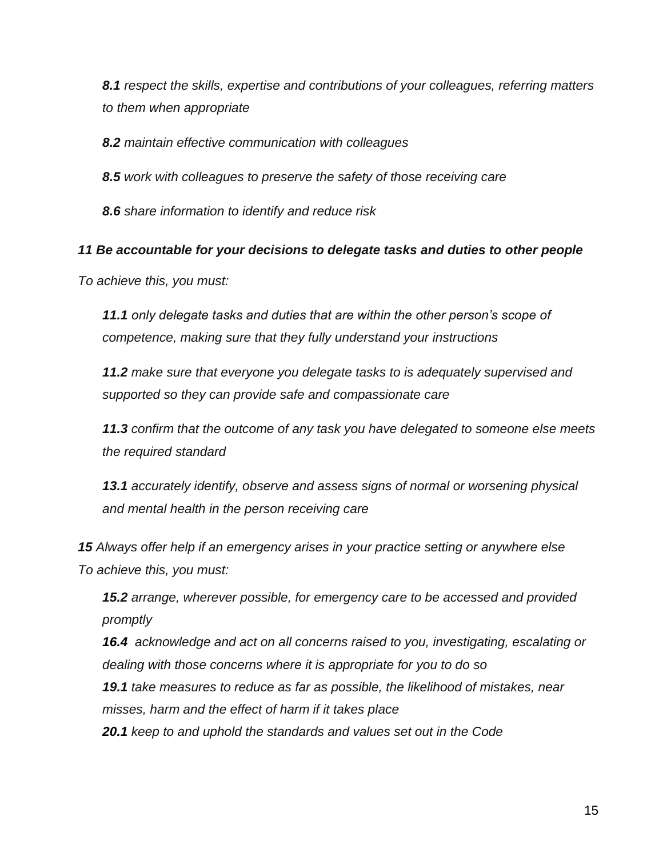*8.1 respect the skills, expertise and contributions of your colleagues, referring matters to them when appropriate*

*8.2 maintain effective communication with colleagues*

*8.5 work with colleagues to preserve the safety of those receiving care*

*8.6 share information to identify and reduce risk*

#### *11 Be accountable for your decisions to delegate tasks and duties to other people*

*To achieve this, you must:*

*11.1 only delegate tasks and duties that are within the other person's scope of competence, making sure that they fully understand your instructions*

*11.2 make sure that everyone you delegate tasks to is adequately supervised and supported so they can provide safe and compassionate care*

*11.3 confirm that the outcome of any task you have delegated to someone else meets the required standard*

*13.1 accurately identify, observe and assess signs of normal or worsening physical and mental health in the person receiving care*

*15 Always offer help if an emergency arises in your practice setting or anywhere else To achieve this, you must:*

*15.2 arrange, wherever possible, for emergency care to be accessed and provided promptly*

*16.4 acknowledge and act on all concerns raised to you, investigating, escalating or dealing with those concerns where it is appropriate for you to do so*

*19.1 take measures to reduce as far as possible, the likelihood of mistakes, near misses, harm and the effect of harm if it takes place*

*20.1 keep to and uphold the standards and values set out in the Code*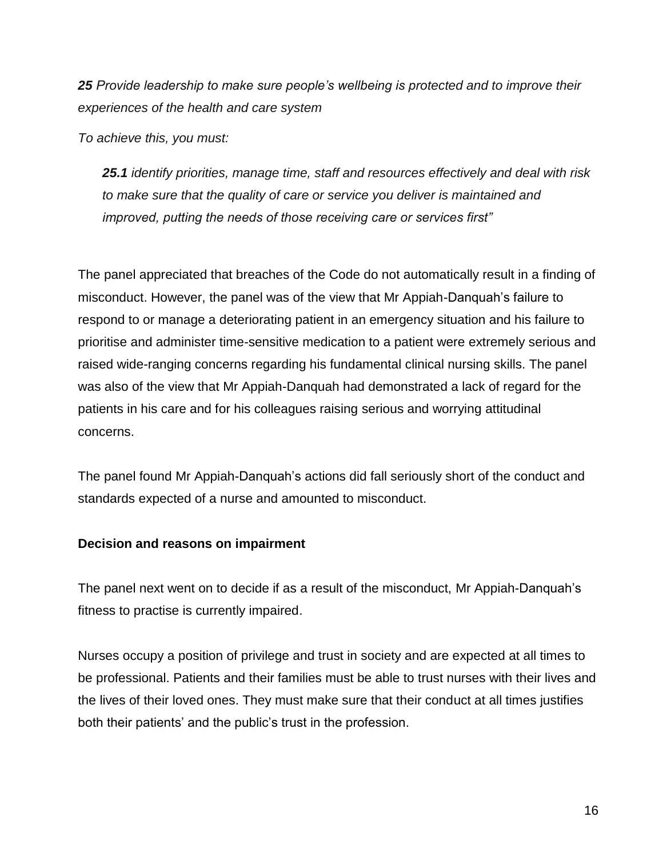*25 Provide leadership to make sure people's wellbeing is protected and to improve their experiences of the health and care system*

*To achieve this, you must:*

*25.1 identify priorities, manage time, staff and resources effectively and deal with risk to make sure that the quality of care or service you deliver is maintained and improved, putting the needs of those receiving care or services first"*

The panel appreciated that breaches of the Code do not automatically result in a finding of misconduct. However, the panel was of the view that Mr Appiah-Danquah's failure to respond to or manage a deteriorating patient in an emergency situation and his failure to prioritise and administer time-sensitive medication to a patient were extremely serious and raised wide-ranging concerns regarding his fundamental clinical nursing skills. The panel was also of the view that Mr Appiah-Danquah had demonstrated a lack of regard for the patients in his care and for his colleagues raising serious and worrying attitudinal concerns.

The panel found Mr Appiah-Danquah's actions did fall seriously short of the conduct and standards expected of a nurse and amounted to misconduct.

### **Decision and reasons on impairment**

The panel next went on to decide if as a result of the misconduct, Mr Appiah-Danquah's fitness to practise is currently impaired.

Nurses occupy a position of privilege and trust in society and are expected at all times to be professional. Patients and their families must be able to trust nurses with their lives and the lives of their loved ones. They must make sure that their conduct at all times justifies both their patients' and the public's trust in the profession.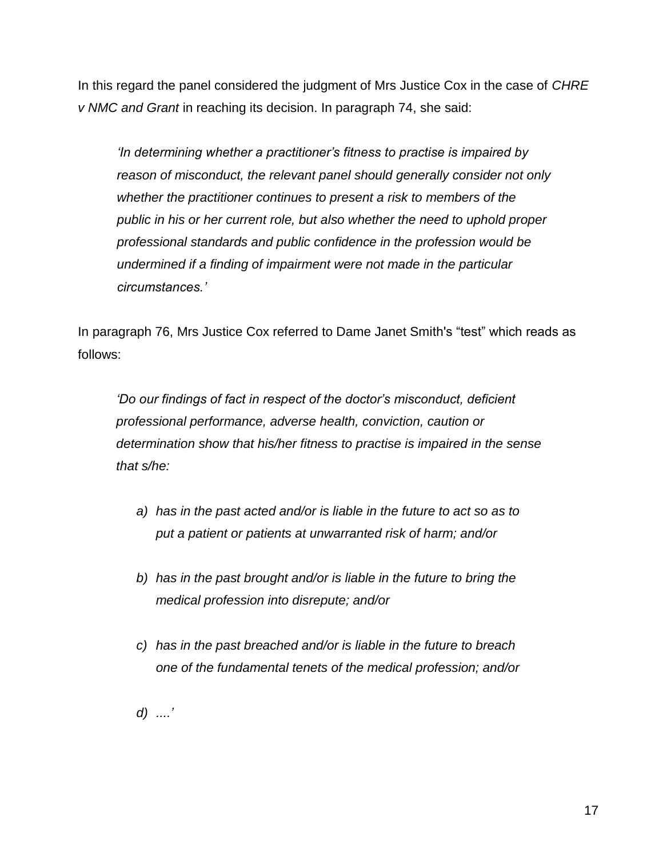In this regard the panel considered the judgment of Mrs Justice Cox in the case of *CHRE v NMC and Grant* in reaching its decision. In paragraph 74, she said:

*'In determining whether a practitioner's fitness to practise is impaired by reason of misconduct, the relevant panel should generally consider not only whether the practitioner continues to present a risk to members of the public in his or her current role, but also whether the need to uphold proper professional standards and public confidence in the profession would be undermined if a finding of impairment were not made in the particular circumstances.'*

In paragraph 76, Mrs Justice Cox referred to Dame Janet Smith's "test" which reads as follows:

*'Do our findings of fact in respect of the doctor's misconduct, deficient professional performance, adverse health, conviction, caution or determination show that his/her fitness to practise is impaired in the sense that s/he:*

- *a) has in the past acted and/or is liable in the future to act so as to put a patient or patients at unwarranted risk of harm; and/or*
- *b) has in the past brought and/or is liable in the future to bring the medical profession into disrepute; and/or*
- *c) has in the past breached and/or is liable in the future to breach one of the fundamental tenets of the medical profession; and/or*
- *d) ....'*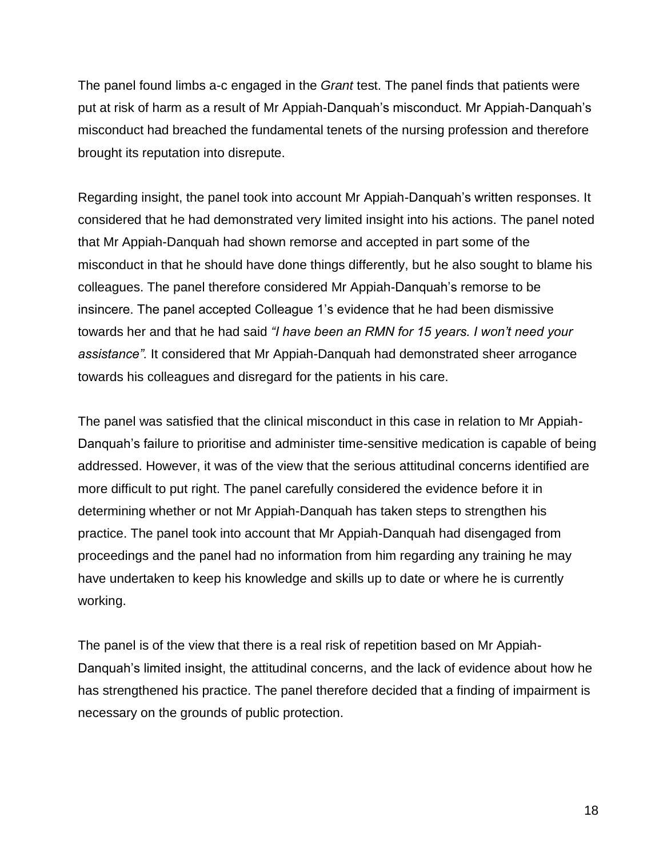The panel found limbs a-c engaged in the *Grant* test. The panel finds that patients were put at risk of harm as a result of Mr Appiah-Danquah's misconduct. Mr Appiah-Danquah's misconduct had breached the fundamental tenets of the nursing profession and therefore brought its reputation into disrepute.

Regarding insight, the panel took into account Mr Appiah-Danquah's written responses. It considered that he had demonstrated very limited insight into his actions. The panel noted that Mr Appiah-Danquah had shown remorse and accepted in part some of the misconduct in that he should have done things differently, but he also sought to blame his colleagues. The panel therefore considered Mr Appiah-Danquah's remorse to be insincere. The panel accepted Colleague 1's evidence that he had been dismissive towards her and that he had said *"I have been an RMN for 15 years. I won't need your assistance".* It considered that Mr Appiah-Danquah had demonstrated sheer arrogance towards his colleagues and disregard for the patients in his care.

The panel was satisfied that the clinical misconduct in this case in relation to Mr Appiah-Danquah's failure to prioritise and administer time-sensitive medication is capable of being addressed. However, it was of the view that the serious attitudinal concerns identified are more difficult to put right. The panel carefully considered the evidence before it in determining whether or not Mr Appiah-Danquah has taken steps to strengthen his practice. The panel took into account that Mr Appiah-Danquah had disengaged from proceedings and the panel had no information from him regarding any training he may have undertaken to keep his knowledge and skills up to date or where he is currently working.

The panel is of the view that there is a real risk of repetition based on Mr Appiah-Danquah's limited insight, the attitudinal concerns, and the lack of evidence about how he has strengthened his practice. The panel therefore decided that a finding of impairment is necessary on the grounds of public protection.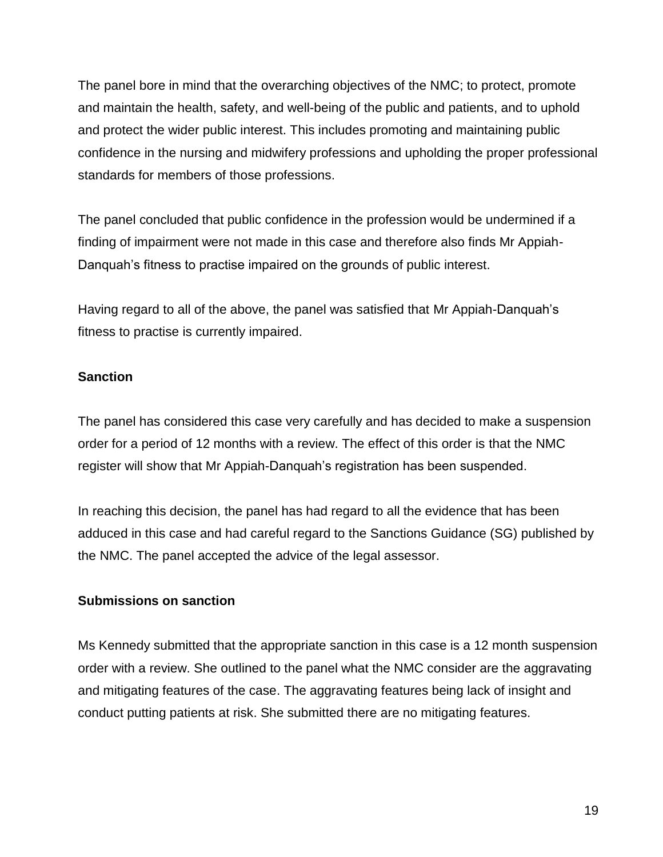The panel bore in mind that the overarching objectives of the NMC; to protect, promote and maintain the health, safety, and well-being of the public and patients, and to uphold and protect the wider public interest. This includes promoting and maintaining public confidence in the nursing and midwifery professions and upholding the proper professional standards for members of those professions.

The panel concluded that public confidence in the profession would be undermined if a finding of impairment were not made in this case and therefore also finds Mr Appiah-Danquah's fitness to practise impaired on the grounds of public interest.

Having regard to all of the above, the panel was satisfied that Mr Appiah-Danquah's fitness to practise is currently impaired.

### **Sanction**

The panel has considered this case very carefully and has decided to make a suspension order for a period of 12 months with a review. The effect of this order is that the NMC register will show that Mr Appiah-Danquah's registration has been suspended.

In reaching this decision, the panel has had regard to all the evidence that has been adduced in this case and had careful regard to the Sanctions Guidance (SG) published by the NMC. The panel accepted the advice of the legal assessor.

### **Submissions on sanction**

Ms Kennedy submitted that the appropriate sanction in this case is a 12 month suspension order with a review. She outlined to the panel what the NMC consider are the aggravating and mitigating features of the case. The aggravating features being lack of insight and conduct putting patients at risk. She submitted there are no mitigating features.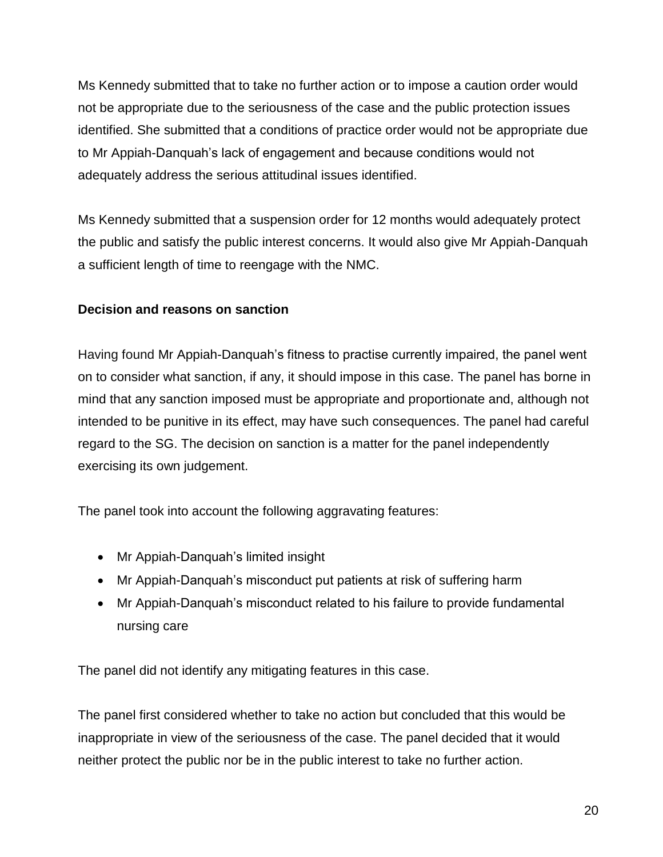Ms Kennedy submitted that to take no further action or to impose a caution order would not be appropriate due to the seriousness of the case and the public protection issues identified. She submitted that a conditions of practice order would not be appropriate due to Mr Appiah-Danquah's lack of engagement and because conditions would not adequately address the serious attitudinal issues identified.

Ms Kennedy submitted that a suspension order for 12 months would adequately protect the public and satisfy the public interest concerns. It would also give Mr Appiah-Danquah a sufficient length of time to reengage with the NMC.

# **Decision and reasons on sanction**

Having found Mr Appiah-Danquah's fitness to practise currently impaired, the panel went on to consider what sanction, if any, it should impose in this case. The panel has borne in mind that any sanction imposed must be appropriate and proportionate and, although not intended to be punitive in its effect, may have such consequences. The panel had careful regard to the SG. The decision on sanction is a matter for the panel independently exercising its own judgement.

The panel took into account the following aggravating features:

- Mr Appiah-Danquah's limited insight
- Mr Appiah-Danquah's misconduct put patients at risk of suffering harm
- Mr Appiah-Danquah's misconduct related to his failure to provide fundamental nursing care

The panel did not identify any mitigating features in this case.

The panel first considered whether to take no action but concluded that this would be inappropriate in view of the seriousness of the case. The panel decided that it would neither protect the public nor be in the public interest to take no further action.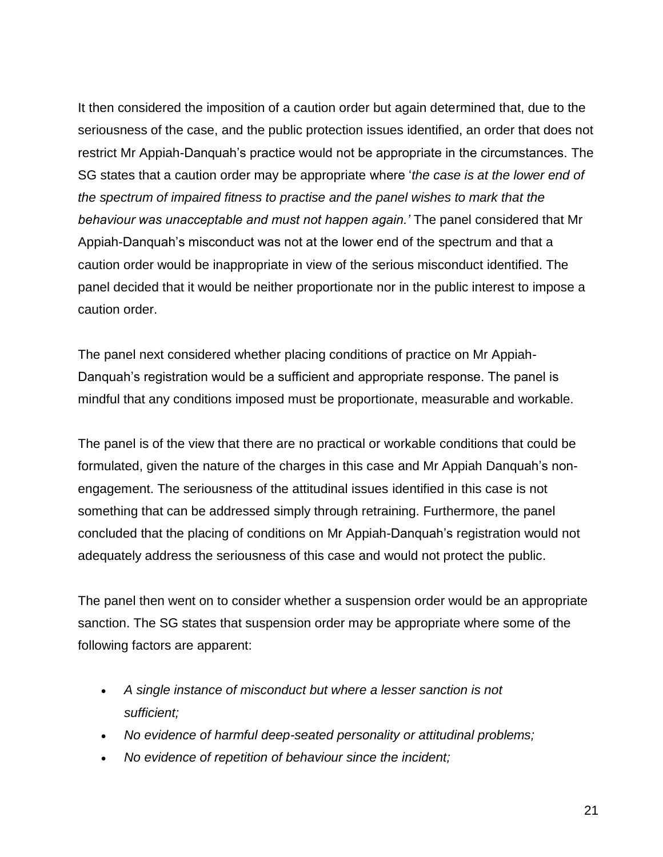It then considered the imposition of a caution order but again determined that, due to the seriousness of the case, and the public protection issues identified, an order that does not restrict Mr Appiah-Danquah's practice would not be appropriate in the circumstances. The SG states that a caution order may be appropriate where '*the case is at the lower end of the spectrum of impaired fitness to practise and the panel wishes to mark that the behaviour was unacceptable and must not happen again.'* The panel considered that Mr Appiah-Danquah's misconduct was not at the lower end of the spectrum and that a caution order would be inappropriate in view of the serious misconduct identified. The panel decided that it would be neither proportionate nor in the public interest to impose a caution order.

The panel next considered whether placing conditions of practice on Mr Appiah-Danquah's registration would be a sufficient and appropriate response. The panel is mindful that any conditions imposed must be proportionate, measurable and workable.

The panel is of the view that there are no practical or workable conditions that could be formulated, given the nature of the charges in this case and Mr Appiah Danquah's nonengagement. The seriousness of the attitudinal issues identified in this case is not something that can be addressed simply through retraining. Furthermore, the panel concluded that the placing of conditions on Mr Appiah-Danquah's registration would not adequately address the seriousness of this case and would not protect the public.

The panel then went on to consider whether a suspension order would be an appropriate sanction. The SG states that suspension order may be appropriate where some of the following factors are apparent:

- *A single instance of misconduct but where a lesser sanction is not sufficient;*
- *No evidence of harmful deep-seated personality or attitudinal problems;*
- *No evidence of repetition of behaviour since the incident;*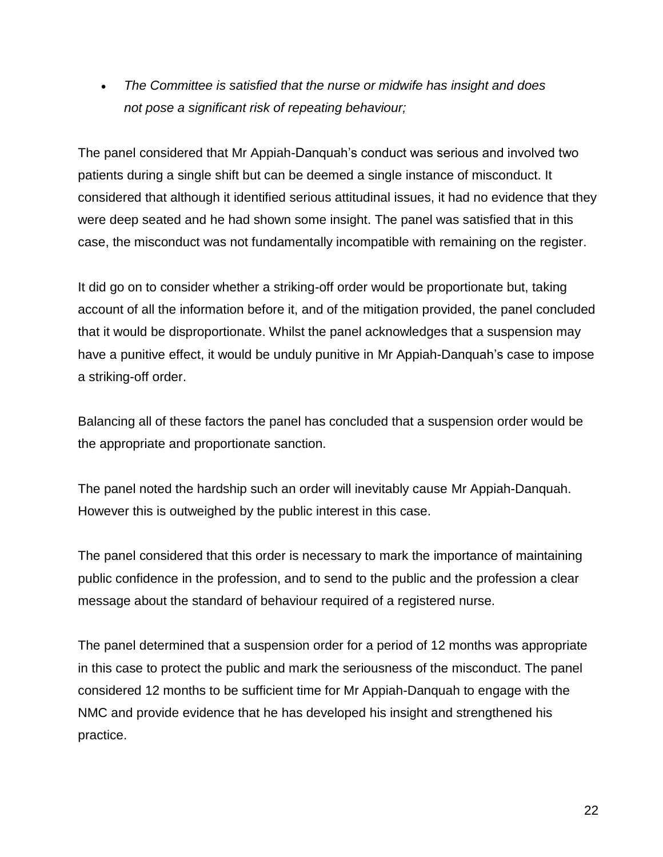*The Committee is satisfied that the nurse or midwife has insight and does not pose a significant risk of repeating behaviour;*

The panel considered that Mr Appiah-Danquah's conduct was serious and involved two patients during a single shift but can be deemed a single instance of misconduct. It considered that although it identified serious attitudinal issues, it had no evidence that they were deep seated and he had shown some insight. The panel was satisfied that in this case, the misconduct was not fundamentally incompatible with remaining on the register.

It did go on to consider whether a striking-off order would be proportionate but, taking account of all the information before it, and of the mitigation provided, the panel concluded that it would be disproportionate. Whilst the panel acknowledges that a suspension may have a punitive effect, it would be unduly punitive in Mr Appiah-Danquah's case to impose a striking-off order.

Balancing all of these factors the panel has concluded that a suspension order would be the appropriate and proportionate sanction.

The panel noted the hardship such an order will inevitably cause Mr Appiah-Danquah. However this is outweighed by the public interest in this case.

The panel considered that this order is necessary to mark the importance of maintaining public confidence in the profession, and to send to the public and the profession a clear message about the standard of behaviour required of a registered nurse.

The panel determined that a suspension order for a period of 12 months was appropriate in this case to protect the public and mark the seriousness of the misconduct. The panel considered 12 months to be sufficient time for Mr Appiah-Danquah to engage with the NMC and provide evidence that he has developed his insight and strengthened his practice.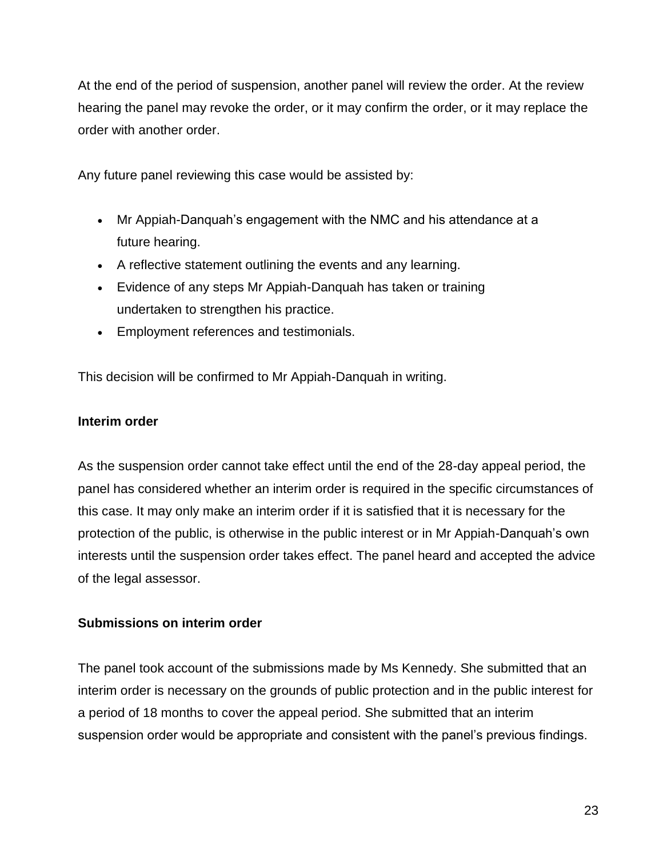At the end of the period of suspension, another panel will review the order. At the review hearing the panel may revoke the order, or it may confirm the order, or it may replace the order with another order.

Any future panel reviewing this case would be assisted by:

- Mr Appiah-Danquah's engagement with the NMC and his attendance at a future hearing.
- A reflective statement outlining the events and any learning.
- Evidence of any steps Mr Appiah-Danquah has taken or training undertaken to strengthen his practice.
- Employment references and testimonials.

This decision will be confirmed to Mr Appiah-Danquah in writing.

### **Interim order**

As the suspension order cannot take effect until the end of the 28-day appeal period, the panel has considered whether an interim order is required in the specific circumstances of this case. It may only make an interim order if it is satisfied that it is necessary for the protection of the public, is otherwise in the public interest or in Mr Appiah-Danquah's own interests until the suspension order takes effect. The panel heard and accepted the advice of the legal assessor.

# **Submissions on interim order**

The panel took account of the submissions made by Ms Kennedy. She submitted that an interim order is necessary on the grounds of public protection and in the public interest for a period of 18 months to cover the appeal period. She submitted that an interim suspension order would be appropriate and consistent with the panel's previous findings.